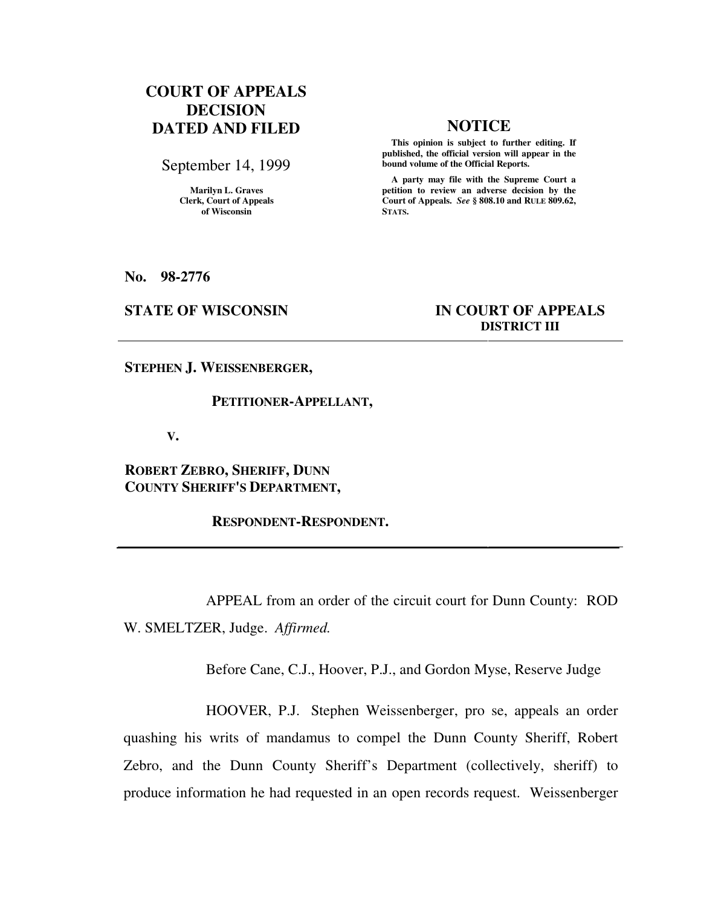# **COURT OF APPEALS DECISION DATED AND FILED NOTICE**

September 14, 1999

**Marilyn L. Graves Clerk, Court of Appeals of Wisconsin** 

 **This opinion is subject to further editing. If published, the official version will appear in the bound volume of the Official Reports.**

 **A party may file with the Supreme Court a petition to review an adverse decision by the Court of Appeals.** *See* **§ 808.10 and RULE 809.62, STATS.** 

**No. 98-2776** 

## **STATE OF WISCONSIN IN COURT OF APPEALS DISTRICT III**

**STEPHEN J. WEISSENBERGER,** 

### **PETITIONER-APPELLANT,**

 **V.** 

**ROBERT ZEBRO, SHERIFF, DUNN COUNTY SHERIFF'S DEPARTMENT,** 

 **RESPONDENT-RESPONDENT.** 

 APPEAL from an order of the circuit court for Dunn County: ROD W. SMELTZER, Judge. *Affirmed.*

Before Cane, C.J., Hoover, P.J., and Gordon Myse, Reserve Judge

 HOOVER, P.J. Stephen Weissenberger, pro se, appeals an order quashing his writs of mandamus to compel the Dunn County Sheriff, Robert Zebro, and the Dunn County Sheriff's Department (collectively, sheriff) to produce information he had requested in an open records request. Weissenberger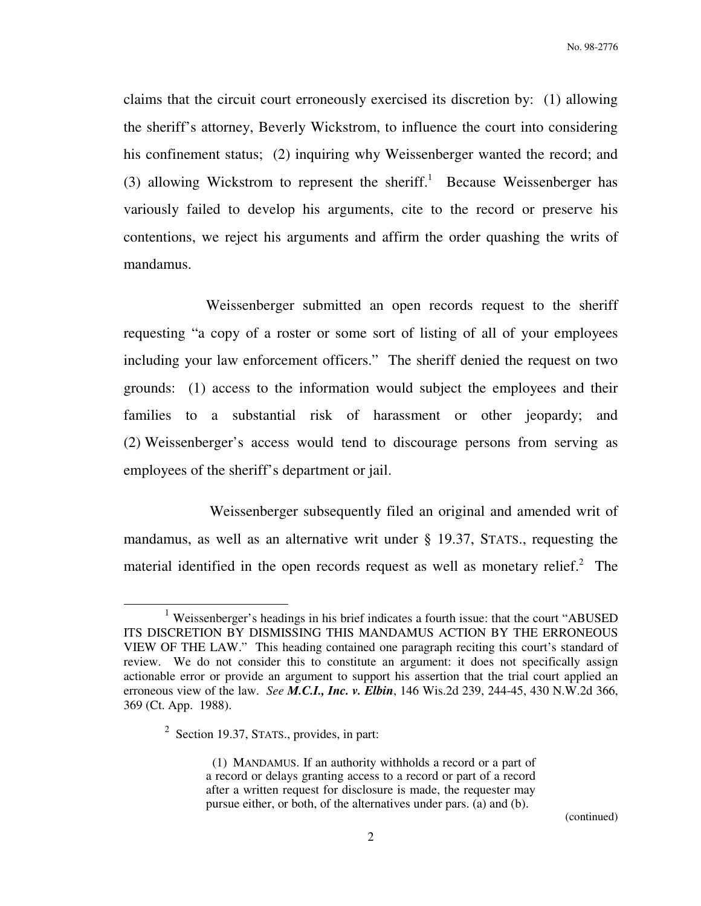No. 98-2776

claims that the circuit court erroneously exercised its discretion by: (1) allowing the sheriff's attorney, Beverly Wickstrom, to influence the court into considering his confinement status; (2) inquiring why Weissenberger wanted the record; and (3) allowing Wickstrom to represent the sheriff.<sup>1</sup> Because Weissenberger has variously failed to develop his arguments, cite to the record or preserve his contentions, we reject his arguments and affirm the order quashing the writs of mandamus.

 Weissenberger submitted an open records request to the sheriff requesting "a copy of a roster or some sort of listing of all of your employees including your law enforcement officers." The sheriff denied the request on two grounds: (1) access to the information would subject the employees and their families to a substantial risk of harassment or other jeopardy; and (2) Weissenberger's access would tend to discourage persons from serving as employees of the sheriff's department or jail.

 Weissenberger subsequently filed an original and amended writ of mandamus, as well as an alternative writ under § 19.37, STATS., requesting the material identified in the open records request as well as monetary relief. $2$  The

<sup>&</sup>lt;sup>1</sup> Weissenberger's headings in his brief indicates a fourth issue: that the court "ABUSED ITS DISCRETION BY DISMISSING THIS MANDAMUS ACTION BY THE ERRONEOUS VIEW OF THE LAW." This heading contained one paragraph reciting this court's standard of review. We do not consider this to constitute an argument: it does not specifically assign actionable error or provide an argument to support his assertion that the trial court applied an erroneous view of the law. *See M.C.I., Inc. v. Elbin*, 146 Wis.2d 239, 244-45, 430 N.W.2d 366, 369 (Ct. App. 1988).

 $2^2$  Section 19.37, STATS., provides, in part:

 <sup>(1)</sup> MANDAMUS. If an authority withholds a record or a part of a record or delays granting access to a record or part of a record after a written request for disclosure is made, the requester may pursue either, or both, of the alternatives under pars. (a) and (b).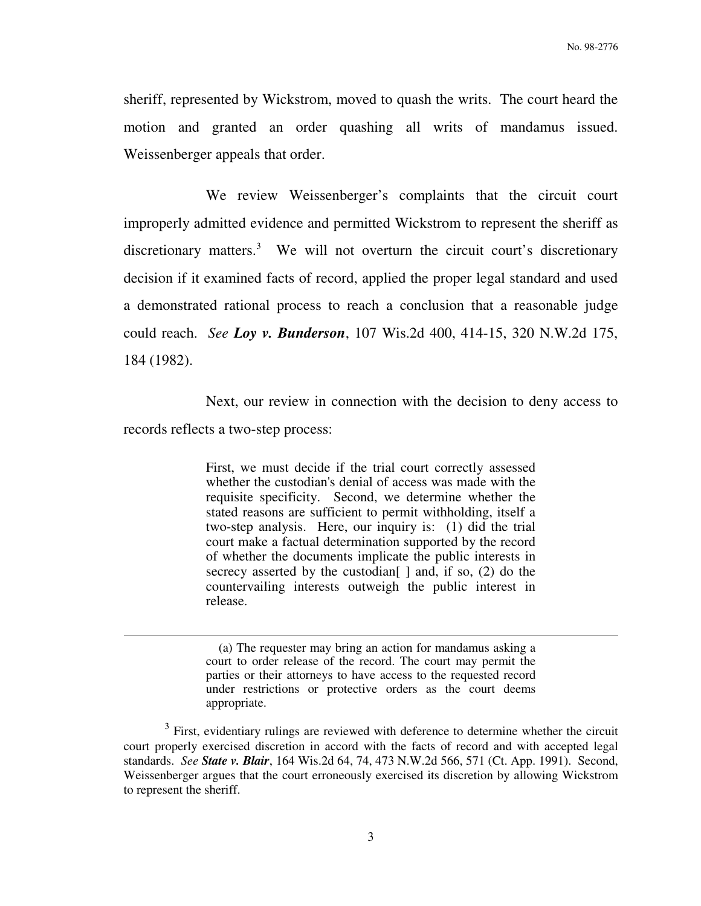sheriff, represented by Wickstrom, moved to quash the writs. The court heard the motion and granted an order quashing all writs of mandamus issued. Weissenberger appeals that order.

 We review Weissenberger's complaints that the circuit court improperly admitted evidence and permitted Wickstrom to represent the sheriff as discretionary matters.<sup>3</sup> We will not overturn the circuit court's discretionary decision if it examined facts of record, applied the proper legal standard and used a demonstrated rational process to reach a conclusion that a reasonable judge could reach. *See Loy v. Bunderson*, 107 Wis.2d 400, 414-15, 320 N.W.2d 175, 184 (1982).

 Next, our review in connection with the decision to deny access to records reflects a two-step process:

> First, we must decide if the trial court correctly assessed whether the custodian's denial of access was made with the requisite specificity. Second, we determine whether the stated reasons are sufficient to permit withholding, itself a two-step analysis. Here, our inquiry is: (1) did the trial court make a factual determination supported by the record of whether the documents implicate the public interests in secrecy asserted by the custodian  $\lceil$  and, if so, (2) do the countervailing interests outweigh the public interest in release.

 <sup>(</sup>a) The requester may bring an action for mandamus asking a court to order release of the record. The court may permit the parties or their attorneys to have access to the requested record under restrictions or protective orders as the court deems appropriate.

 $3$  First, evidentiary rulings are reviewed with deference to determine whether the circuit court properly exercised discretion in accord with the facts of record and with accepted legal standards. *See State v. Blair*, 164 Wis.2d 64, 74, 473 N.W.2d 566, 571 (Ct. App. 1991). Second, Weissenberger argues that the court erroneously exercised its discretion by allowing Wickstrom to represent the sheriff.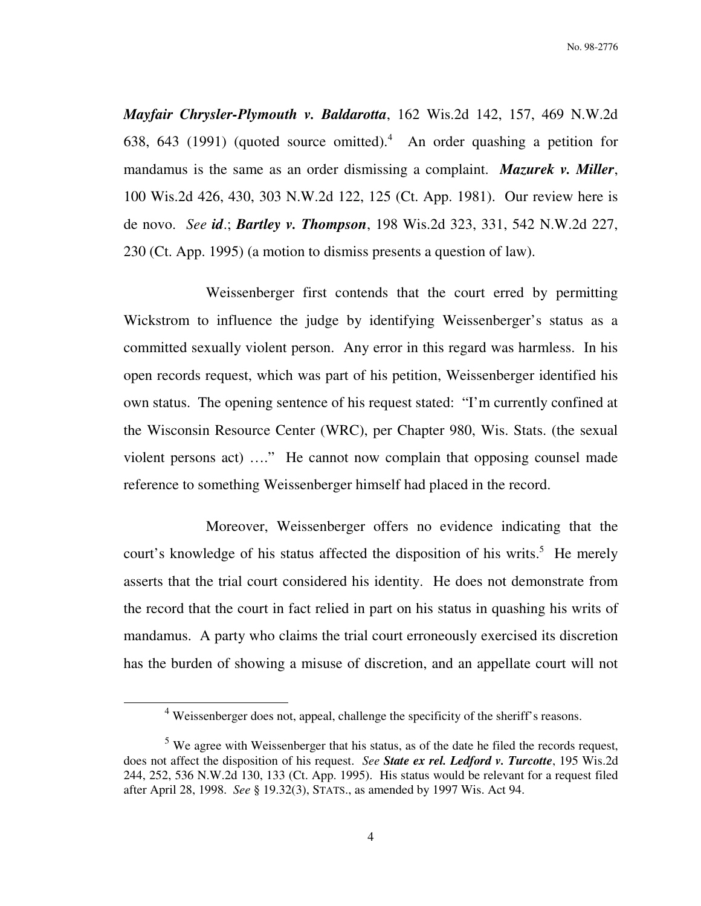No. 98-2776

*Mayfair Chrysler-Plymouth v. Baldarotta*, 162 Wis.2d 142, 157, 469 N.W.2d 638, 643 (1991) (quoted source omitted). $4$  An order quashing a petition for mandamus is the same as an order dismissing a complaint. *Mazurek v. Miller*, 100 Wis.2d 426, 430, 303 N.W.2d 122, 125 (Ct. App. 1981). Our review here is de novo. *See id*.; *Bartley v. Thompson*, 198 Wis.2d 323, 331, 542 N.W.2d 227, 230 (Ct. App. 1995) (a motion to dismiss presents a question of law).

 Weissenberger first contends that the court erred by permitting Wickstrom to influence the judge by identifying Weissenberger's status as a committed sexually violent person. Any error in this regard was harmless. In his open records request, which was part of his petition, Weissenberger identified his own status. The opening sentence of his request stated: "I'm currently confined at the Wisconsin Resource Center (WRC), per Chapter 980, Wis. Stats. (the sexual violent persons act) …." He cannot now complain that opposing counsel made reference to something Weissenberger himself had placed in the record.

 Moreover, Weissenberger offers no evidence indicating that the court's knowledge of his status affected the disposition of his writs.<sup>5</sup> He merely asserts that the trial court considered his identity. He does not demonstrate from the record that the court in fact relied in part on his status in quashing his writs of mandamus. A party who claims the trial court erroneously exercised its discretion has the burden of showing a misuse of discretion, and an appellate court will not

<sup>&</sup>lt;sup>4</sup> Weissenberger does not, appeal, challenge the specificity of the sheriff's reasons.

 $<sup>5</sup>$  We agree with Weissenberger that his status, as of the date he filed the records request,</sup> does not affect the disposition of his request. *See State ex rel. Ledford v. Turcotte*, 195 Wis.2d 244, 252, 536 N.W.2d 130, 133 (Ct. App. 1995). His status would be relevant for a request filed after April 28, 1998. *See* § 19.32(3), STATS., as amended by 1997 Wis. Act 94.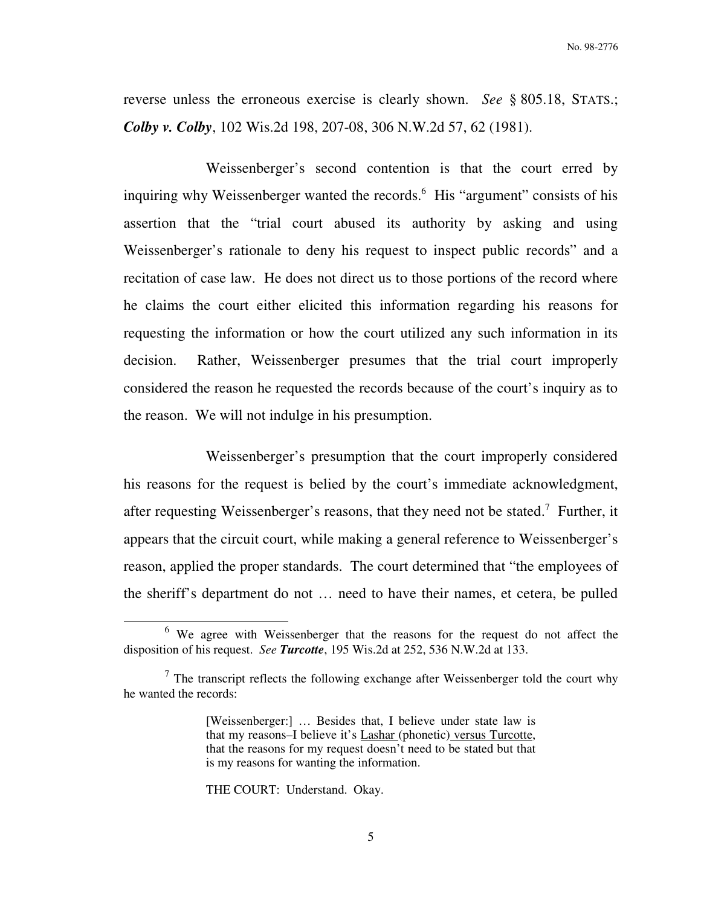reverse unless the erroneous exercise is clearly shown. *See* § 805.18, STATS.; *Colby v. Colby*, 102 Wis.2d 198, 207-08, 306 N.W.2d 57, 62 (1981).

 Weissenberger's second contention is that the court erred by inquiring why Weissenberger wanted the records.<sup>6</sup> His "argument" consists of his assertion that the "trial court abused its authority by asking and using Weissenberger's rationale to deny his request to inspect public records" and a recitation of case law. He does not direct us to those portions of the record where he claims the court either elicited this information regarding his reasons for requesting the information or how the court utilized any such information in its decision. Rather, Weissenberger presumes that the trial court improperly considered the reason he requested the records because of the court's inquiry as to the reason. We will not indulge in his presumption.

 Weissenberger's presumption that the court improperly considered his reasons for the request is belied by the court's immediate acknowledgment, after requesting Weissenberger's reasons, that they need not be stated.<sup>7</sup> Further, it appears that the circuit court, while making a general reference to Weissenberger's reason, applied the proper standards. The court determined that "the employees of the sheriff's department do not … need to have their names, et cetera, be pulled

THE COURT: Understand. Okay.

 $6$  We agree with Weissenberger that the reasons for the request do not affect the disposition of his request. *See Turcotte*, 195 Wis.2d at 252, 536 N.W.2d at 133.

 $<sup>7</sup>$  The transcript reflects the following exchange after Weissenberger told the court why</sup> he wanted the records:

<sup>[</sup>Weissenberger:] … Besides that, I believe under state law is that my reasons–I believe it's Lashar (phonetic) versus Turcotte, that the reasons for my request doesn't need to be stated but that is my reasons for wanting the information.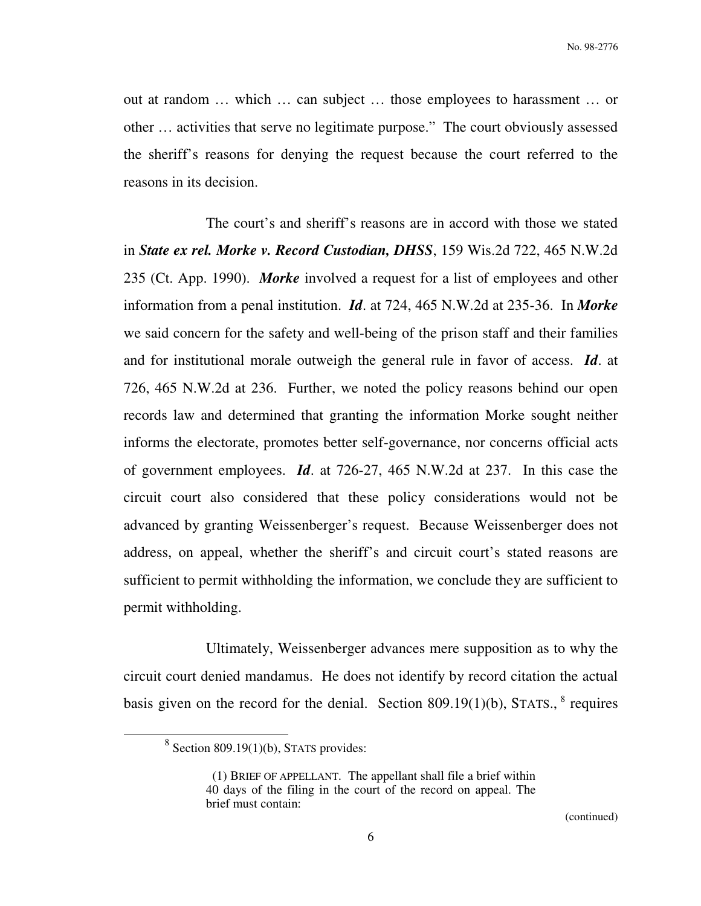out at random … which … can subject … those employees to harassment … or other … activities that serve no legitimate purpose." The court obviously assessed the sheriff's reasons for denying the request because the court referred to the reasons in its decision.

 The court's and sheriff's reasons are in accord with those we stated in *State ex rel. Morke v. Record Custodian, DHSS*, 159 Wis.2d 722, 465 N.W.2d 235 (Ct. App. 1990). *Morke* involved a request for a list of employees and other information from a penal institution. *Id*. at 724, 465 N.W.2d at 235-36. In *Morke* we said concern for the safety and well-being of the prison staff and their families and for institutional morale outweigh the general rule in favor of access. *Id*. at 726, 465 N.W.2d at 236. Further, we noted the policy reasons behind our open records law and determined that granting the information Morke sought neither informs the electorate, promotes better self-governance, nor concerns official acts of government employees. *Id*. at 726-27, 465 N.W.2d at 237. In this case the circuit court also considered that these policy considerations would not be advanced by granting Weissenberger's request. Because Weissenberger does not address, on appeal, whether the sheriff's and circuit court's stated reasons are sufficient to permit withholding the information, we conclude they are sufficient to permit withholding.

 Ultimately, Weissenberger advances mere supposition as to why the circuit court denied mandamus. He does not identify by record citation the actual basis given on the record for the denial. Section  $809.19(1)(b)$ , STATS.,  $8$  requires

 $8$  Section 809.19(1)(b), STATS provides:

 <sup>(1)</sup> BRIEF OF APPELLANT. The appellant shall file a brief within 40 days of the filing in the court of the record on appeal. The brief must contain: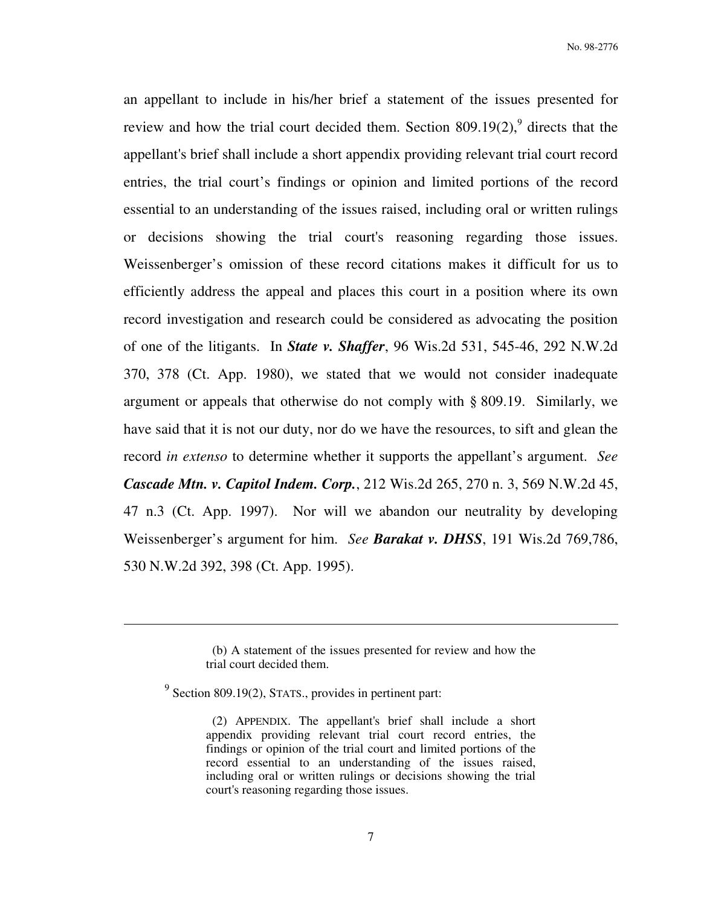an appellant to include in his/her brief a statement of the issues presented for review and how the trial court decided them. Section  $809.19(2)$ , directs that the appellant's brief shall include a short appendix providing relevant trial court record entries, the trial court's findings or opinion and limited portions of the record essential to an understanding of the issues raised, including oral or written rulings or decisions showing the trial court's reasoning regarding those issues. Weissenberger's omission of these record citations makes it difficult for us to efficiently address the appeal and places this court in a position where its own record investigation and research could be considered as advocating the position of one of the litigants. In *State v. Shaffer*, 96 Wis.2d 531, 545-46, 292 N.W.2d 370, 378 (Ct. App. 1980), we stated that we would not consider inadequate argument or appeals that otherwise do not comply with § 809.19. Similarly, we have said that it is not our duty, nor do we have the resources, to sift and glean the record *in extenso* to determine whether it supports the appellant's argument. *See Cascade Mtn. v. Capitol Indem. Corp.*, 212 Wis.2d 265, 270 n. 3, 569 N.W.2d 45, 47 n.3 (Ct. App. 1997). Nor will we abandon our neutrality by developing Weissenberger's argument for him. *See Barakat v. DHSS*, 191 Wis.2d 769,786, 530 N.W.2d 392, 398 (Ct. App. 1995).

 <sup>(</sup>b) A statement of the issues presented for review and how the trial court decided them.

 $9$  Section 809.19(2), STATS., provides in pertinent part:

 <sup>(2)</sup> APPENDIX. The appellant's brief shall include a short appendix providing relevant trial court record entries, the findings or opinion of the trial court and limited portions of the record essential to an understanding of the issues raised, including oral or written rulings or decisions showing the trial court's reasoning regarding those issues.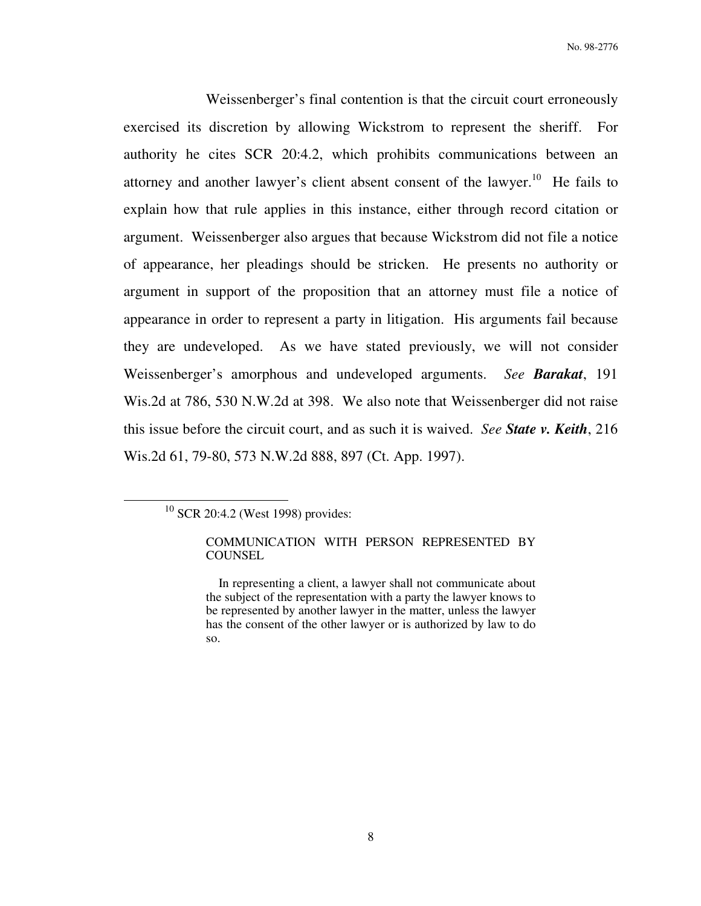Weissenberger's final contention is that the circuit court erroneously exercised its discretion by allowing Wickstrom to represent the sheriff. For authority he cites SCR 20:4.2, which prohibits communications between an attorney and another lawyer's client absent consent of the lawyer.<sup>10</sup> He fails to explain how that rule applies in this instance, either through record citation or argument. Weissenberger also argues that because Wickstrom did not file a notice of appearance, her pleadings should be stricken. He presents no authority or argument in support of the proposition that an attorney must file a notice of appearance in order to represent a party in litigation. His arguments fail because they are undeveloped. As we have stated previously, we will not consider Weissenberger's amorphous and undeveloped arguments. *See Barakat*, 191 Wis.2d at 786, 530 N.W.2d at 398. We also note that Weissenberger did not raise this issue before the circuit court, and as such it is waived. *See State v. Keith*, 216 Wis.2d 61, 79-80, 573 N.W.2d 888, 897 (Ct. App. 1997).

<sup>&</sup>lt;sup>10</sup> SCR 20:4.2 (West 1998) provides:

COMMUNICATION WITH PERSON REPRESENTED BY **COUNSEL** 

In representing a client, a lawyer shall not communicate about the subject of the representation with a party the lawyer knows to be represented by another lawyer in the matter, unless the lawyer has the consent of the other lawyer or is authorized by law to do so.